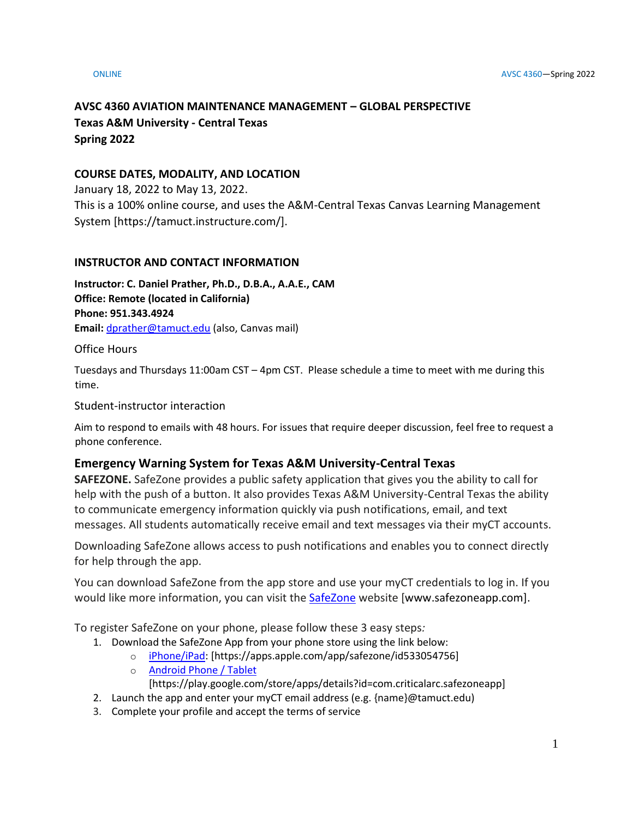# **AVSC 4360 AVIATION MAINTENANCE MANAGEMENT – GLOBAL PERSPECTIVE Texas A&M University - Central Texas Spring 2022**

### **COURSE DATES, MODALITY, AND LOCATION**

January 18, 2022 to May 13, 2022. This is a 100% online course, and uses the A&M-Central Texas Canvas Learning Management System [https://tamuct.instructure.com/].

#### **INSTRUCTOR AND CONTACT INFORMATION**

**Instructor: C. Daniel Prather, Ph.D., D.B.A., A.A.E., CAM Office: Remote (located in California) Phone: 951.343.4924 Email:** [dprather@tamuct.edu](mailto:dprather@tamuct.edu) (also, Canvas mail)

Office Hours

Tuesdays and Thursdays 11:00am CST – 4pm CST. Please schedule a time to meet with me during this time.

Student-instructor interaction

Aim to respond to emails with 48 hours. For issues that require deeper discussion, feel free to request a phone conference.

## **Emergency Warning System for Texas A&M University-Central Texas**

**SAFEZONE.** SafeZone provides a public safety application that gives you the ability to call for help with the push of a button. It also provides Texas A&M University-Central Texas the ability to communicate emergency information quickly via push notifications, email, and text messages. All students automatically receive email and text messages via their myCT accounts.

Downloading SafeZone allows access to push notifications and enables you to connect directly for help through the app.

You can download SafeZone from the app store and use your myCT credentials to log in. If you would like more information, you can visit the [SafeZone](http://www.safezoneapp.com/) website [www.safezoneapp.com].

To register SafeZone on your phone, please follow these 3 easy steps*:*

- 1. Download the SafeZone App from your phone store using the link below:
	- o [iPhone/iPad:](https://apps.apple.com/app/safezone/id533054756) [https://apps.apple.com/app/safezone/id533054756]
	- o [Android Phone / Tablet](https://play.google.com/store/apps/details?id=com.criticalarc.safezoneapp)

[https://play.google.com/store/apps/details?id=com.criticalarc.safezoneapp]

- 2. Launch the app and enter your myCT email address (e.g. {name}@tamuct.edu)
- 3. Complete your profile and accept the terms of service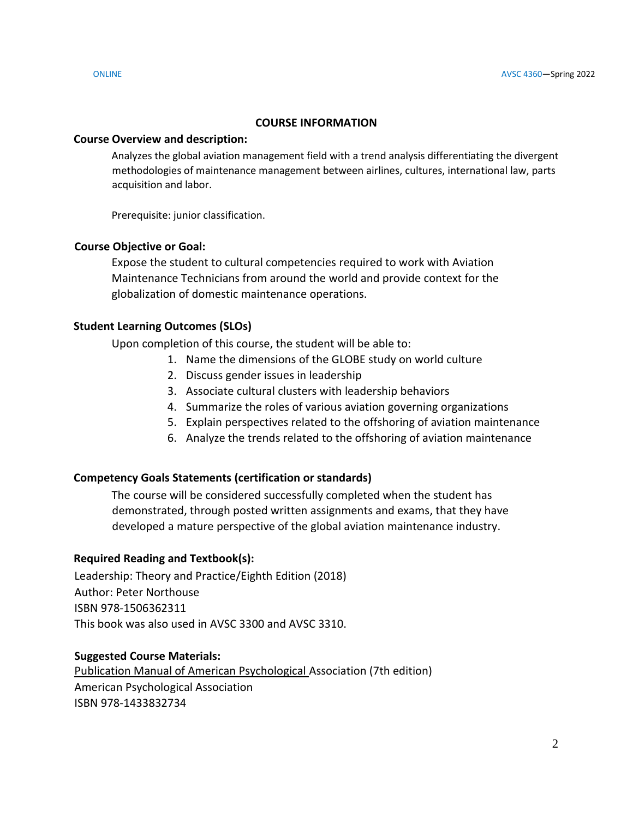#### **COURSE INFORMATION**

#### **Course Overview and description:**

Analyzes the global aviation management field with a trend analysis differentiating the divergent methodologies of maintenance management between airlines, cultures, international law, parts acquisition and labor.

Prerequisite: junior classification.

### **Course Objective or Goal:**

Expose the student to cultural competencies required to work with Aviation Maintenance Technicians from around the world and provide context for the globalization of domestic maintenance operations.

### **Student Learning Outcomes (SLOs)**

Upon completion of this course, the student will be able to:

- 1. Name the dimensions of the GLOBE study on world culture
- 2. Discuss gender issues in leadership
- 3. Associate cultural clusters with leadership behaviors
- 4. Summarize the roles of various aviation governing organizations
- 5. Explain perspectives related to the offshoring of aviation maintenance
- 6. Analyze the trends related to the offshoring of aviation maintenance

### **Competency Goals Statements (certification or standards)**

The course will be considered successfully completed when the student has demonstrated, through posted written assignments and exams, that they have developed a mature perspective of the global aviation maintenance industry.

### **Required Reading and Textbook(s):**

Leadership: Theory and Practice/Eighth Edition (2018) Author: Peter Northouse ISBN 978-1506362311 This book was also used in AVSC 3300 and AVSC 3310.

### **Suggested Course Materials:**

Publication Manual of American Psychological Association (7th edition) American Psychological Association ISBN 978-1433832734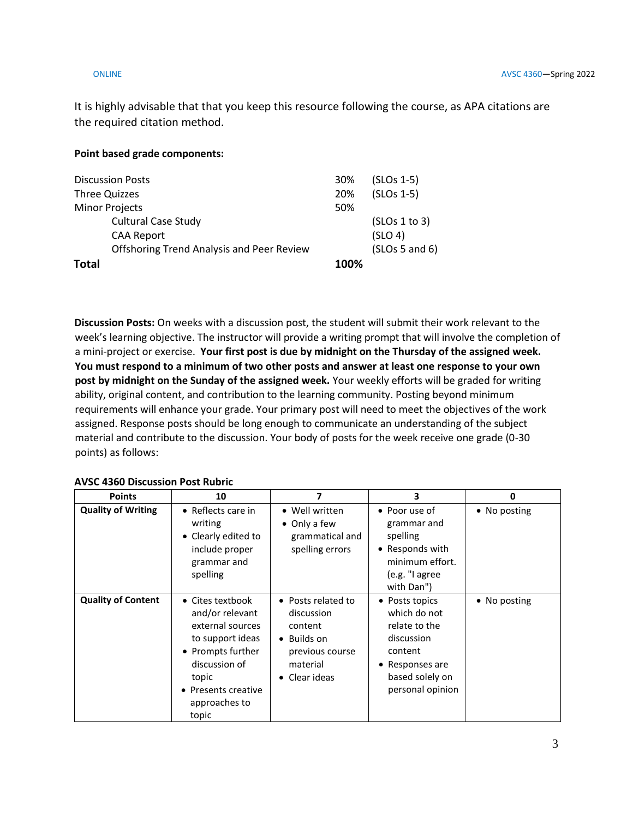It is highly advisable that that you keep this resource following the course, as APA citations are the required citation method.

#### **Point based grade components:**

| <b>Discussion Posts</b>                          | 30%  | $(SLOS 1-5)$   |
|--------------------------------------------------|------|----------------|
| Three Quizzes                                    | 20%  | $(SLOS 1-5)$   |
| <b>Minor Projects</b>                            | 50%  |                |
| <b>Cultural Case Study</b>                       |      | (SLOS 1 to 3)  |
| <b>CAA Report</b>                                |      | (SLO 4)        |
| <b>Offshoring Trend Analysis and Peer Review</b> |      | (SLOS 5 and 6) |
| <b>Total</b>                                     | 100% |                |

**Discussion Posts:** On weeks with a discussion post, the student will submit their work relevant to the week's learning objective. The instructor will provide a writing prompt that will involve the completion of a mini-project or exercise. **Your first post is due by midnight on the Thursday of the assigned week. You must respond to a minimum of two other posts and answer at least one response to your own post by midnight on the Sunday of the assigned week.** Your weekly efforts will be graded for writing ability, original content, and contribution to the learning community. Posting beyond minimum requirements will enhance your grade. Your primary post will need to meet the objectives of the work assigned. Response posts should be long enough to communicate an understanding of the subject material and contribute to the discussion. Your body of posts for the week receive one grade (0-30 points) as follows:

#### **AVSC 4360 Discussion Post Rubric**

| <b>Points</b>             | 10                                                                                                                                                                          | 7                                                                                                                  | 3                                                                                                                                  | 0            |
|---------------------------|-----------------------------------------------------------------------------------------------------------------------------------------------------------------------------|--------------------------------------------------------------------------------------------------------------------|------------------------------------------------------------------------------------------------------------------------------------|--------------|
| <b>Quality of Writing</b> | • Reflects care in<br>writing<br>• Clearly edited to<br>include proper<br>grammar and<br>spelling                                                                           | • Well written<br>• Only a few<br>grammatical and<br>spelling errors                                               | • Poor use of<br>grammar and<br>spelling<br>• Responds with<br>minimum effort.<br>(e.g. "I agree<br>with Dan")                     | • No posting |
| <b>Quality of Content</b> | • Cites textbook<br>and/or relevant<br>external sources<br>to support ideas<br>• Prompts further<br>discussion of<br>topic<br>• Presents creative<br>approaches to<br>topic | • Posts related to<br>discussion<br>content<br>$\bullet$ Builds on<br>previous course<br>material<br>• Clear ideas | • Posts topics<br>which do not<br>relate to the<br>discussion<br>content<br>• Responses are<br>based solely on<br>personal opinion | • No posting |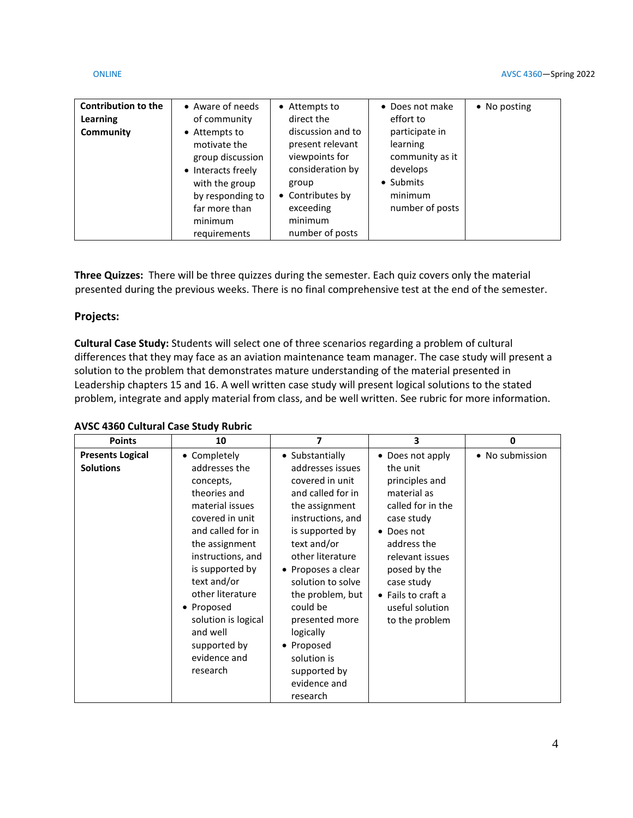| <b>Contribution to the</b><br>Learning<br>Community | • Aware of needs<br>of community<br>• Attempts to<br>motivate the<br>group discussion<br>• Interacts freely | • Attempts to<br>direct the<br>discussion and to<br>present relevant<br>viewpoints for<br>consideration by | • Does not make<br>effort to<br>participate in<br>learning<br>community as it<br>develops | • No posting |
|-----------------------------------------------------|-------------------------------------------------------------------------------------------------------------|------------------------------------------------------------------------------------------------------------|-------------------------------------------------------------------------------------------|--------------|
|                                                     | with the group                                                                                              | group                                                                                                      | • Submits                                                                                 |              |
|                                                     | by responding to<br>far more than<br>minimum<br>requirements                                                | • Contributes by<br>exceeding<br>minimum<br>number of posts                                                | minimum<br>number of posts                                                                |              |

**Three Quizzes:** There will be three quizzes during the semester. Each quiz covers only the material presented during the previous weeks. There is no final comprehensive test at the end of the semester.

#### **Projects:**

**Cultural Case Study:** Students will select one of three scenarios regarding a problem of cultural differences that they may face as an aviation maintenance team manager. The case study will present a solution to the problem that demonstrates mature understanding of the material presented in Leadership chapters 15 and 16. A well written case study will present logical solutions to the stated problem, integrate and apply material from class, and be well written. See rubric for more information.

| <b>AVSC 4360 Cultural Case Study Rubric</b> |  |  |
|---------------------------------------------|--|--|
|---------------------------------------------|--|--|

| <b>Points</b>           | 10                  | 7                  | 3                          | 0               |
|-------------------------|---------------------|--------------------|----------------------------|-----------------|
| <b>Presents Logical</b> | • Completely        | • Substantially    | • Does not apply           | • No submission |
| <b>Solutions</b>        | addresses the       | addresses issues   | the unit                   |                 |
|                         | concepts,           | covered in unit    | principles and             |                 |
|                         | theories and        | and called for in  | material as                |                 |
|                         | material issues     | the assignment     | called for in the          |                 |
|                         | covered in unit     | instructions, and  | case study                 |                 |
|                         | and called for in   | is supported by    | • Does not                 |                 |
|                         | the assignment      | text and/or        | address the                |                 |
|                         | instructions, and   | other literature   | relevant issues            |                 |
|                         | is supported by     | • Proposes a clear | posed by the               |                 |
|                         | text and/or         | solution to solve  | case study                 |                 |
|                         | other literature    | the problem, but   | $\bullet$ Fails to craft a |                 |
|                         | • Proposed          | could be           | useful solution            |                 |
|                         | solution is logical | presented more     | to the problem             |                 |
|                         | and well            | logically          |                            |                 |
|                         | supported by        | • Proposed         |                            |                 |
|                         | evidence and        | solution is        |                            |                 |
|                         | research            | supported by       |                            |                 |
|                         |                     | evidence and       |                            |                 |
|                         |                     | research           |                            |                 |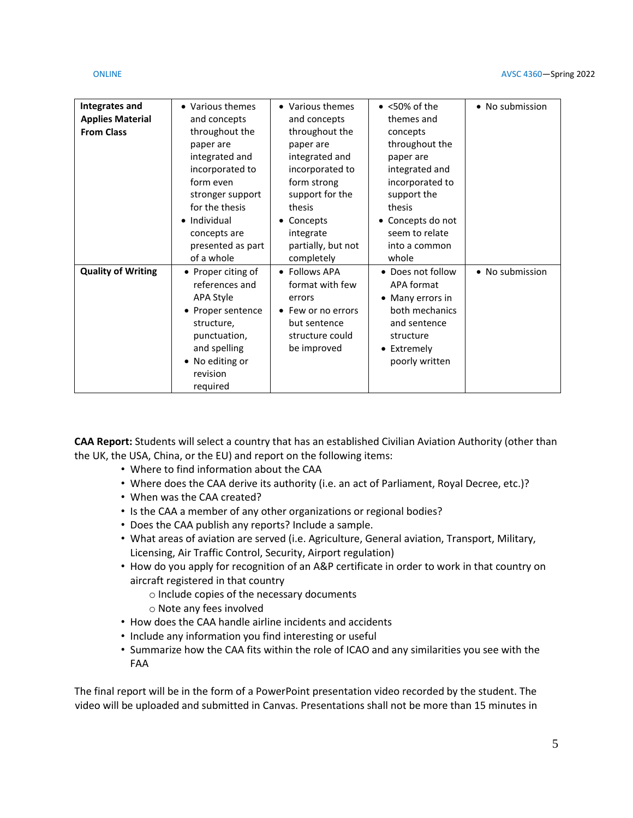| Integrates and            | • Various themes   | • Various themes   | $\bullet$ <50% of the | • No submission |
|---------------------------|--------------------|--------------------|-----------------------|-----------------|
| <b>Applies Material</b>   | and concepts       | and concepts       | themes and            |                 |
| <b>From Class</b>         | throughout the     | throughout the     | concepts              |                 |
|                           | paper are          | paper are          | throughout the        |                 |
|                           | integrated and     | integrated and     | paper are             |                 |
|                           | incorporated to    | incorporated to    | integrated and        |                 |
|                           | form even          |                    |                       |                 |
|                           |                    | form strong        | incorporated to       |                 |
|                           | stronger support   | support for the    | support the           |                 |
|                           | for the thesis     | thesis             | thesis                |                 |
|                           | • Individual       | Concepts           | • Concepts do not     |                 |
|                           | concepts are       | integrate          | seem to relate        |                 |
|                           | presented as part  | partially, but not | into a common         |                 |
|                           | of a whole         | completely         | whole                 |                 |
| <b>Quality of Writing</b> |                    | • Follows APA      | • Does not follow     | • No submission |
|                           | • Proper citing of |                    |                       |                 |
|                           | references and     | format with few    | APA format            |                 |
|                           | APA Style          | errors             | • Many errors in      |                 |
|                           | • Proper sentence  | Few or no errors   | both mechanics        |                 |
|                           | structure,         | but sentence       | and sentence          |                 |
|                           | punctuation,       | structure could    | structure             |                 |
|                           | and spelling       | be improved        | • Extremely           |                 |
|                           |                    |                    |                       |                 |
|                           | No editing or      |                    | poorly written        |                 |
|                           | revision           |                    |                       |                 |
|                           | required           |                    |                       |                 |

**CAA Report:** Students will select a country that has an established Civilian Aviation Authority (other than the UK, the USA, China, or the EU) and report on the following items:

- Where to find information about the CAA
- Where does the CAA derive its authority (i.e. an act of Parliament, Royal Decree, etc.)?
- When was the CAA created?
- Is the CAA a member of any other organizations or regional bodies?
- Does the CAA publish any reports? Include a sample.
- What areas of aviation are served (i.e. Agriculture, General aviation, Transport, Military, Licensing, Air Traffic Control, Security, Airport regulation)
- How do you apply for recognition of an A&P certificate in order to work in that country on aircraft registered in that country
	- o Include copies of the necessary documents
	- o Note any fees involved
- How does the CAA handle airline incidents and accidents
- Include any information you find interesting or useful
- Summarize how the CAA fits within the role of ICAO and any similarities you see with the FAA

The final report will be in the form of a PowerPoint presentation video recorded by the student. The video will be uploaded and submitted in Canvas. Presentations shall not be more than 15 minutes in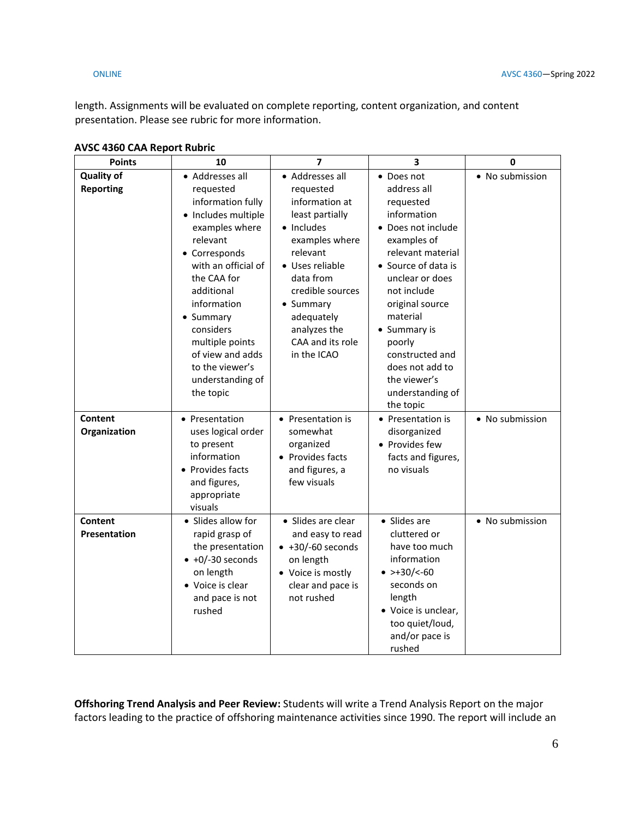length. Assignments will be evaluated on complete reporting, content organization, and content presentation. Please see rubric for more information.

| <b>Points</b>                         | 10                                                                                                                                                                                                                                                                                                              | $\overline{\mathbf{z}}$                                                                                                                                                                                                                         | 3                                                                                                                                                                                                                                                                                                                        | 0               |
|---------------------------------------|-----------------------------------------------------------------------------------------------------------------------------------------------------------------------------------------------------------------------------------------------------------------------------------------------------------------|-------------------------------------------------------------------------------------------------------------------------------------------------------------------------------------------------------------------------------------------------|--------------------------------------------------------------------------------------------------------------------------------------------------------------------------------------------------------------------------------------------------------------------------------------------------------------------------|-----------------|
| <b>Quality of</b><br><b>Reporting</b> | • Addresses all<br>requested<br>information fully<br>• Includes multiple<br>examples where<br>relevant<br>• Corresponds<br>with an official of<br>the CAA for<br>additional<br>information<br>• Summary<br>considers<br>multiple points<br>of view and adds<br>to the viewer's<br>understanding of<br>the topic | • Addresses all<br>requested<br>information at<br>least partially<br>• Includes<br>examples where<br>relevant<br>· Uses reliable<br>data from<br>credible sources<br>• Summary<br>adequately<br>analyzes the<br>CAA and its role<br>in the ICAO | • Does not<br>address all<br>requested<br>information<br>• Does not include<br>examples of<br>relevant material<br>• Source of data is<br>unclear or does<br>not include<br>original source<br>material<br>• Summary is<br>poorly<br>constructed and<br>does not add to<br>the viewer's<br>understanding of<br>the topic | • No submission |
| Content<br>Organization               | • Presentation<br>uses logical order<br>to present<br>information<br>Provides facts<br>and figures,<br>appropriate<br>visuals                                                                                                                                                                                   | • Presentation is<br>somewhat<br>organized<br>• Provides facts<br>and figures, a<br>few visuals                                                                                                                                                 | • Presentation is<br>disorganized<br>• Provides few<br>facts and figures,<br>no visuals                                                                                                                                                                                                                                  | • No submission |
| Content<br>Presentation               | • Slides allow for<br>rapid grasp of<br>the presentation<br>$\bullet$ +0/-30 seconds<br>on length<br>• Voice is clear<br>and pace is not<br>rushed                                                                                                                                                              | · Slides are clear<br>and easy to read<br>$\bullet$ +30/-60 seconds<br>on length<br>• Voice is mostly<br>clear and pace is<br>not rushed                                                                                                        | • Slides are<br>cluttered or<br>have too much<br>information<br>$\bullet$ >+30/<-60<br>seconds on<br>length<br>• Voice is unclear,<br>too quiet/loud,<br>and/or pace is<br>rushed                                                                                                                                        | • No submission |

#### **AVSC 4360 CAA Report Rubric**

**Offshoring Trend Analysis and Peer Review:** Students will write a Trend Analysis Report on the major factors leading to the practice of offshoring maintenance activities since 1990. The report will include an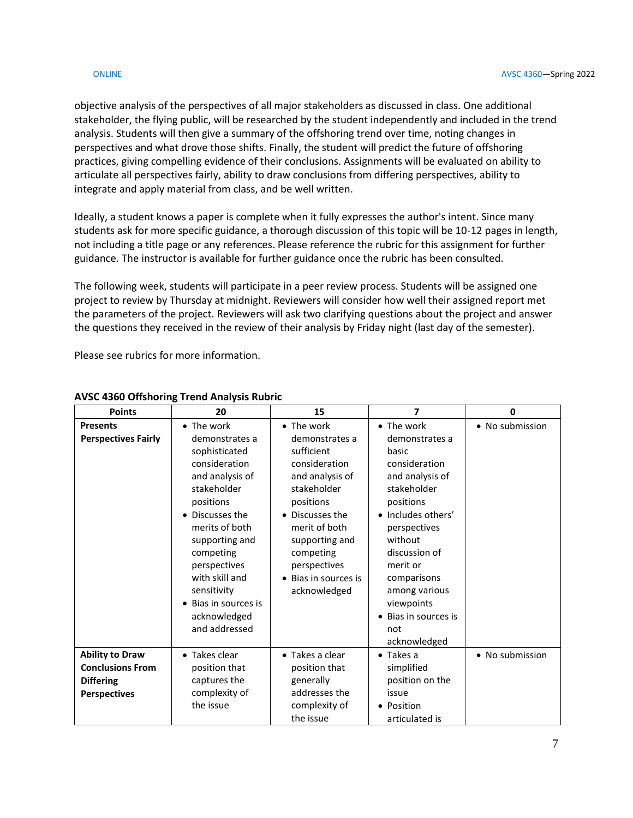objective analysis of the perspectives of all major stakeholders as discussed in class. One additional stakeholder, the flying public, will be researched by the student independently and included in the trend analysis. Students will then give a summary of the offshoring trend over time, noting changes in perspectives and what drove those shifts. Finally, the student will predict the future of offshoring practices, giving compelling evidence of their conclusions. Assignments will be evaluated on ability to articulate all perspectives fairly, ability to draw conclusions from differing perspectives, ability to integrate and apply material from class, and be well written.

Ideally, a student knows a paper is complete when it fully expresses the author's intent. Since many students ask for more specific guidance, a thorough discussion of this topic will be 10-12 pages in length, not including a title page or any references. Please reference the rubric for this assignment for further guidance. The instructor is available for further guidance once the rubric has been consulted.

The following week, students will participate in a peer review process. Students will be assigned one project to review by Thursday at midnight. Reviewers will consider how well their assigned report met the parameters of the project. Reviewers will ask two clarifying questions about the project and answer the questions they received in the review of their analysis by Friday night (last day of the semester).

Please see rubrics for more information.

| <b>Points</b>                                                                                | 20                                                                                                                                                                                                | 15                                                                                                                                                                                            | 7                                                                                                                                                                                   | $\mathbf 0$     |
|----------------------------------------------------------------------------------------------|---------------------------------------------------------------------------------------------------------------------------------------------------------------------------------------------------|-----------------------------------------------------------------------------------------------------------------------------------------------------------------------------------------------|-------------------------------------------------------------------------------------------------------------------------------------------------------------------------------------|-----------------|
| <b>Presents</b><br><b>Perspectives Fairly</b>                                                | • The work<br>demonstrates a<br>sophisticated<br>consideration<br>and analysis of<br>stakeholder<br>positions<br>• Discusses the<br>merits of both<br>supporting and<br>competing<br>perspectives | • The work<br>demonstrates a<br>sufficient<br>consideration<br>and analysis of<br>stakeholder<br>positions<br>• Discusses the<br>merit of both<br>supporting and<br>competing<br>perspectives | • The work<br>demonstrates a<br>basic<br>consideration<br>and analysis of<br>stakeholder<br>positions<br>• Includes others'<br>perspectives<br>without<br>discussion of<br>merit or | • No submission |
|                                                                                              | with skill and<br>sensitivity<br>• Bias in sources is<br>acknowledged<br>and addressed                                                                                                            | • Bias in sources is<br>acknowledged                                                                                                                                                          | comparisons<br>among various<br>viewpoints<br>• Bias in sources is<br>not                                                                                                           |                 |
|                                                                                              |                                                                                                                                                                                                   |                                                                                                                                                                                               | acknowledged                                                                                                                                                                        |                 |
| <b>Ability to Draw</b><br><b>Conclusions From</b><br><b>Differing</b><br><b>Perspectives</b> | • Takes clear<br>position that<br>captures the<br>complexity of<br>the issue                                                                                                                      | • Takes a clear<br>position that<br>generally<br>addresses the<br>complexity of<br>the issue                                                                                                  | $\bullet$ Takes a<br>simplified<br>position on the<br>issue<br>• Position<br>articulated is                                                                                         | • No submission |

#### **AVSC 4360 Offshoring Trend Analysis Rubric**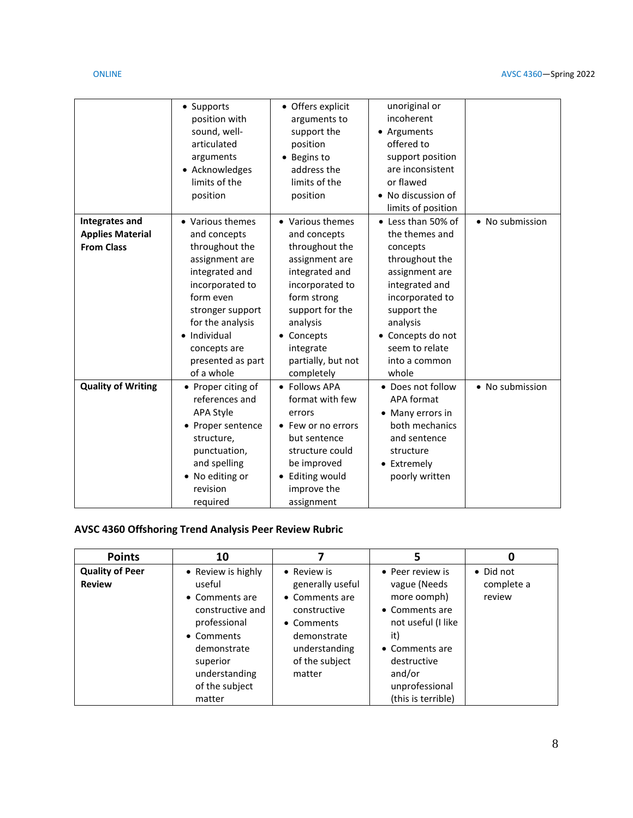|                           | • Supports<br>position with<br>sound, well-<br>articulated<br>arguments<br>• Acknowledges<br>limits of the<br>position | • Offers explicit<br>arguments to<br>support the<br>position<br>• Begins to<br>address the<br>limits of the<br>position | unoriginal or<br>incoherent<br>• Arguments<br>offered to<br>support position<br>are inconsistent<br>or flawed<br>• No discussion of<br>limits of position |                 |
|---------------------------|------------------------------------------------------------------------------------------------------------------------|-------------------------------------------------------------------------------------------------------------------------|-----------------------------------------------------------------------------------------------------------------------------------------------------------|-----------------|
| <b>Integrates and</b>     | • Various themes                                                                                                       | • Various themes                                                                                                        | • Less than 50% of                                                                                                                                        | • No submission |
| <b>Applies Material</b>   | and concepts                                                                                                           | and concepts                                                                                                            | the themes and                                                                                                                                            |                 |
| <b>From Class</b>         | throughout the                                                                                                         | throughout the                                                                                                          | concepts                                                                                                                                                  |                 |
|                           | assignment are<br>integrated and                                                                                       | assignment are<br>integrated and                                                                                        | throughout the<br>assignment are                                                                                                                          |                 |
|                           | incorporated to                                                                                                        | incorporated to                                                                                                         | integrated and                                                                                                                                            |                 |
|                           | form even                                                                                                              | form strong                                                                                                             | incorporated to                                                                                                                                           |                 |
|                           | stronger support                                                                                                       | support for the                                                                                                         | support the                                                                                                                                               |                 |
|                           | for the analysis                                                                                                       | analysis                                                                                                                | analysis                                                                                                                                                  |                 |
|                           | Individual                                                                                                             | Concepts                                                                                                                | • Concepts do not                                                                                                                                         |                 |
|                           | concepts are                                                                                                           | integrate                                                                                                               | seem to relate                                                                                                                                            |                 |
|                           | presented as part                                                                                                      | partially, but not                                                                                                      | into a common                                                                                                                                             |                 |
|                           | of a whole                                                                                                             | completely                                                                                                              | whole                                                                                                                                                     |                 |
| <b>Quality of Writing</b> | • Proper citing of                                                                                                     | <b>Follows APA</b>                                                                                                      | • Does not follow                                                                                                                                         | • No submission |
|                           | references and                                                                                                         | format with few                                                                                                         | <b>APA format</b>                                                                                                                                         |                 |
|                           | <b>APA Style</b>                                                                                                       | errors                                                                                                                  | • Many errors in                                                                                                                                          |                 |
|                           | • Proper sentence                                                                                                      | Few or no errors                                                                                                        | both mechanics                                                                                                                                            |                 |
|                           | structure,                                                                                                             | but sentence                                                                                                            | and sentence                                                                                                                                              |                 |
|                           | punctuation,                                                                                                           | structure could                                                                                                         | structure                                                                                                                                                 |                 |
|                           | and spelling                                                                                                           | be improved                                                                                                             | • Extremely                                                                                                                                               |                 |
|                           | • No editing or                                                                                                        | <b>Editing would</b>                                                                                                    | poorly written                                                                                                                                            |                 |
|                           | revision                                                                                                               | improve the                                                                                                             |                                                                                                                                                           |                 |
|                           | required                                                                                                               | assignment                                                                                                              |                                                                                                                                                           |                 |

## **AVSC 4360 Offshoring Trend Analysis Peer Review Rubric**

| <b>Points</b>                           | 10                                                                                                                                           |                                                                                                                                             | 5                                                                                                                                         | O                                 |
|-----------------------------------------|----------------------------------------------------------------------------------------------------------------------------------------------|---------------------------------------------------------------------------------------------------------------------------------------------|-------------------------------------------------------------------------------------------------------------------------------------------|-----------------------------------|
| <b>Quality of Peer</b><br><b>Review</b> | • Review is highly<br>useful<br>• Comments are<br>constructive and<br>professional<br>• Comments<br>demonstrate<br>superior<br>understanding | • Review is<br>generally useful<br>• Comments are<br>constructive<br>• Comments<br>demonstrate<br>understanding<br>of the subject<br>matter | • Peer review is<br>vague (Needs<br>more oomph)<br>• Comments are<br>not useful (I like<br>it)<br>• Comments are<br>destructive<br>and/or | • Did not<br>complete a<br>review |
|                                         | of the subject<br>matter                                                                                                                     |                                                                                                                                             | unprofessional<br>(this is terrible)                                                                                                      |                                   |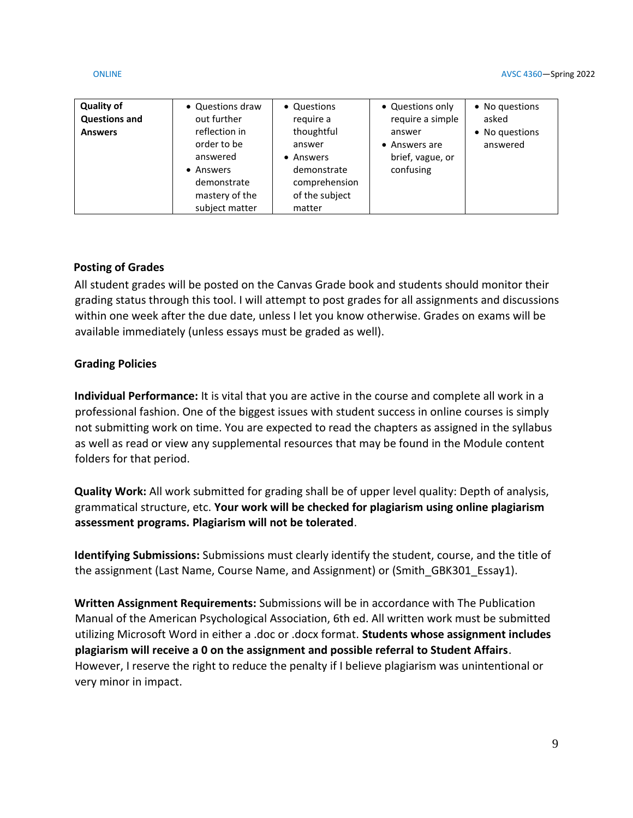#### ONLINE AVSC 4360—Spring 2022

| <b>Quality of</b><br><b>Questions and</b><br><b>Answers</b> | • Questions draw<br>out further<br>reflection in<br>order to be<br>answered<br>• Answers<br>demonstrate<br>mastery of the | • Questions<br>require a<br>thoughtful<br>answer<br>• Answers<br>demonstrate<br>comprehension<br>of the subject | • Questions only<br>require a simple<br>answer<br>• Answers are<br>brief, vague, or<br>confusing | • No questions<br>asked<br>• No questions<br>answered |
|-------------------------------------------------------------|---------------------------------------------------------------------------------------------------------------------------|-----------------------------------------------------------------------------------------------------------------|--------------------------------------------------------------------------------------------------|-------------------------------------------------------|
|                                                             | subject matter                                                                                                            | matter                                                                                                          |                                                                                                  |                                                       |

## **Posting of Grades**

All student grades will be posted on the Canvas Grade book and students should monitor their grading status through this tool. I will attempt to post grades for all assignments and discussions within one week after the due date, unless I let you know otherwise. Grades on exams will be available immediately (unless essays must be graded as well).

### **Grading Policies**

**Individual Performance:** It is vital that you are active in the course and complete all work in a professional fashion. One of the biggest issues with student success in online courses is simply not submitting work on time. You are expected to read the chapters as assigned in the syllabus as well as read or view any supplemental resources that may be found in the Module content folders for that period.

**Quality Work:** All work submitted for grading shall be of upper level quality: Depth of analysis, grammatical structure, etc. **Your work will be checked for plagiarism using online plagiarism assessment programs. Plagiarism will not be tolerated**.

**Identifying Submissions:** Submissions must clearly identify the student, course, and the title of the assignment (Last Name, Course Name, and Assignment) or (Smith GBK301 Essay1).

**Written Assignment Requirements:** Submissions will be in accordance with The Publication Manual of the American Psychological Association, 6th ed. All written work must be submitted utilizing Microsoft Word in either a .doc or .docx format. **Students whose assignment includes plagiarism will receive a 0 on the assignment and possible referral to Student Affairs**. However, I reserve the right to reduce the penalty if I believe plagiarism was unintentional or very minor in impact.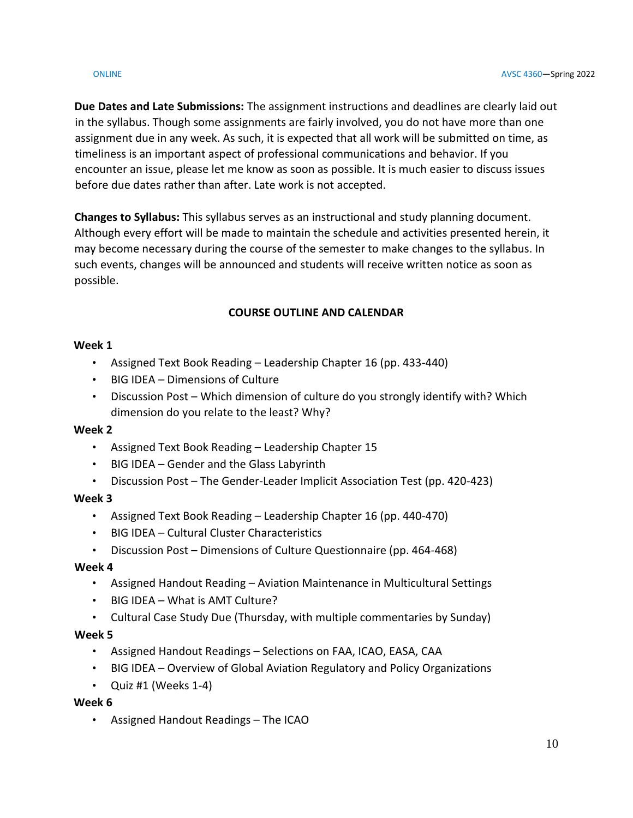**Due Dates and Late Submissions:** The assignment instructions and deadlines are clearly laid out in the syllabus. Though some assignments are fairly involved, you do not have more than one assignment due in any week. As such, it is expected that all work will be submitted on time, as timeliness is an important aspect of professional communications and behavior. If you encounter an issue, please let me know as soon as possible. It is much easier to discuss issues before due dates rather than after. Late work is not accepted.

**Changes to Syllabus:** This syllabus serves as an instructional and study planning document. Although every effort will be made to maintain the schedule and activities presented herein, it may become necessary during the course of the semester to make changes to the syllabus. In such events, changes will be announced and students will receive written notice as soon as possible.

# **COURSE OUTLINE AND CALENDAR**

## **Week 1**

- Assigned Text Book Reading Leadership Chapter 16 (pp. 433-440)
- BIG IDEA Dimensions of Culture
- Discussion Post Which dimension of culture do you strongly identify with? Which dimension do you relate to the least? Why?

## **Week 2**

- Assigned Text Book Reading Leadership Chapter 15
- BIG IDEA Gender and the Glass Labyrinth
- Discussion Post The Gender-Leader Implicit Association Test (pp. 420-423)

## **Week 3**

- Assigned Text Book Reading Leadership Chapter 16 (pp. 440-470)
- BIG IDEA Cultural Cluster Characteristics
- Discussion Post Dimensions of Culture Questionnaire (pp. 464-468)

## **Week 4**

- Assigned Handout Reading Aviation Maintenance in Multicultural Settings
- BIG IDEA What is AMT Culture?
- Cultural Case Study Due (Thursday, with multiple commentaries by Sunday)

## **Week 5**

- Assigned Handout Readings Selections on FAA, ICAO, EASA, CAA
- BIG IDEA Overview of Global Aviation Regulatory and Policy Organizations
- Quiz #1 (Weeks 1-4)

## **Week 6**

• Assigned Handout Readings – The ICAO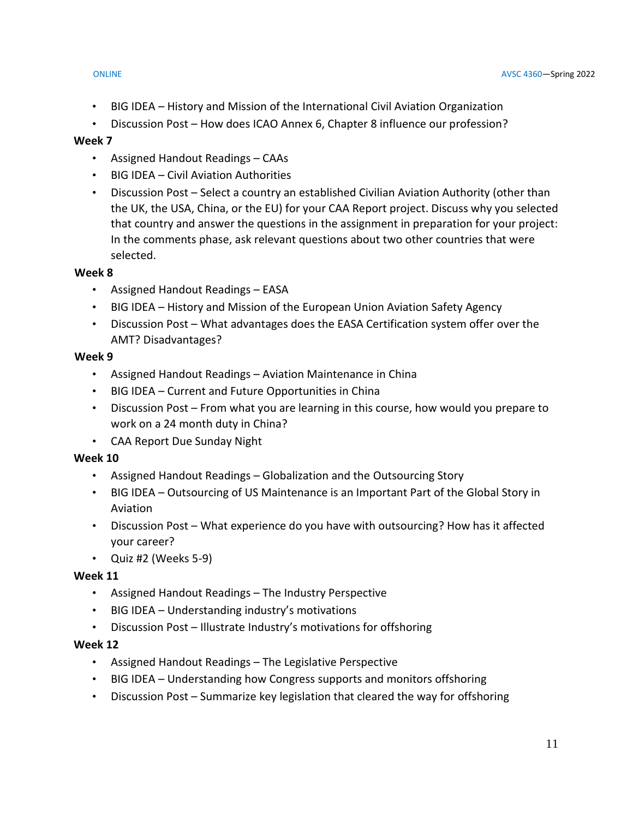- BIG IDEA History and Mission of the International Civil Aviation Organization
- Discussion Post How does ICAO Annex 6, Chapter 8 influence our profession?

#### **Week 7**

- Assigned Handout Readings CAAs
- BIG IDEA Civil Aviation Authorities
- Discussion Post Select a country an established Civilian Aviation Authority (other than the UK, the USA, China, or the EU) for your CAA Report project. Discuss why you selected that country and answer the questions in the assignment in preparation for your project: In the comments phase, ask relevant questions about two other countries that were selected.

### **Week 8**

- Assigned Handout Readings EASA
- BIG IDEA History and Mission of the European Union Aviation Safety Agency
- Discussion Post What advantages does the EASA Certification system offer over the AMT? Disadvantages?

#### **Week 9**

- Assigned Handout Readings Aviation Maintenance in China
- BIG IDEA Current and Future Opportunities in China
- Discussion Post From what you are learning in this course, how would you prepare to work on a 24 month duty in China?
- CAA Report Due Sunday Night

### **Week 10**

- Assigned Handout Readings Globalization and the Outsourcing Story
- BIG IDEA Outsourcing of US Maintenance is an Important Part of the Global Story in Aviation
- Discussion Post What experience do you have with outsourcing? How has it affected your career?
- Quiz #2 (Weeks 5-9)

### **Week 11**

- Assigned Handout Readings The Industry Perspective
- BIG IDEA Understanding industry's motivations
- Discussion Post Illustrate Industry's motivations for offshoring

### **Week 12**

- Assigned Handout Readings The Legislative Perspective
- BIG IDEA Understanding how Congress supports and monitors offshoring
- Discussion Post Summarize key legislation that cleared the way for offshoring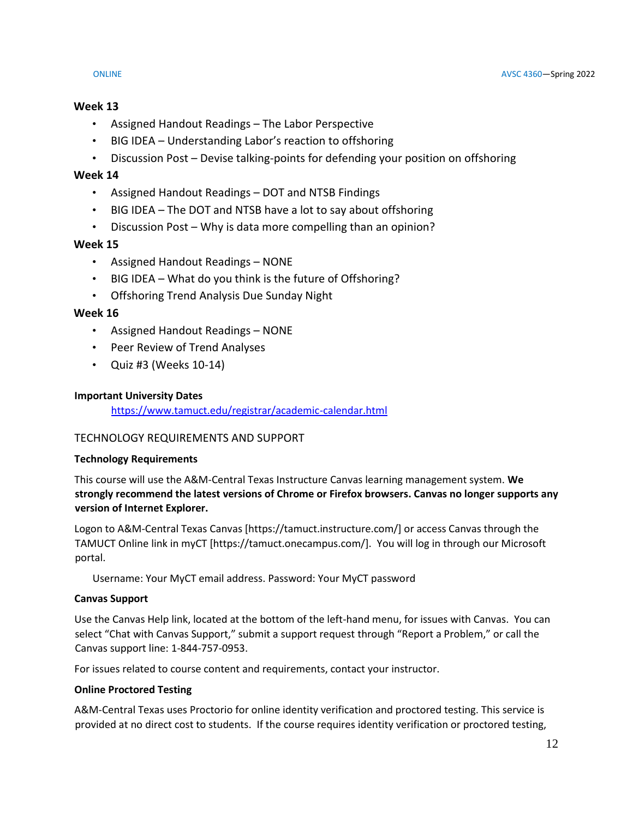## **Week 13**

- Assigned Handout Readings The Labor Perspective
- BIG IDEA Understanding Labor's reaction to offshoring
- Discussion Post Devise talking-points for defending your position on offshoring

## **Week 14**

- Assigned Handout Readings DOT and NTSB Findings
- BIG IDEA The DOT and NTSB have a lot to say about offshoring
- Discussion Post Why is data more compelling than an opinion?

## **Week 15**

- Assigned Handout Readings NONE
- BIG IDEA What do you think is the future of Offshoring?
- Offshoring Trend Analysis Due Sunday Night

## **Week 16**

- Assigned Handout Readings NONE
- Peer Review of Trend Analyses
- Quiz #3 (Weeks 10-14)

### **Important University Dates**

<https://www.tamuct.edu/registrar/academic-calendar.html>

### TECHNOLOGY REQUIREMENTS AND SUPPORT

### **Technology Requirements**

This course will use the A&M-Central Texas Instructure Canvas learning management system. **We strongly recommend the latest versions of Chrome or Firefox browsers. Canvas no longer supports any version of Internet Explorer.**

Logon to A&M-Central Texas Canvas [https://tamuct.instructure.com/] or access Canvas through the TAMUCT Online link in myCT [https://tamuct.onecampus.com/]. You will log in through our Microsoft portal.

Username: Your MyCT email address. Password: Your MyCT password

### **Canvas Support**

Use the Canvas Help link, located at the bottom of the left-hand menu, for issues with Canvas. You can select "Chat with Canvas Support," submit a support request through "Report a Problem," or call the Canvas support line: 1-844-757-0953.

For issues related to course content and requirements, contact your instructor.

### **Online Proctored Testing**

A&M-Central Texas uses Proctorio for online identity verification and proctored testing. This service is provided at no direct cost to students. If the course requires identity verification or proctored testing,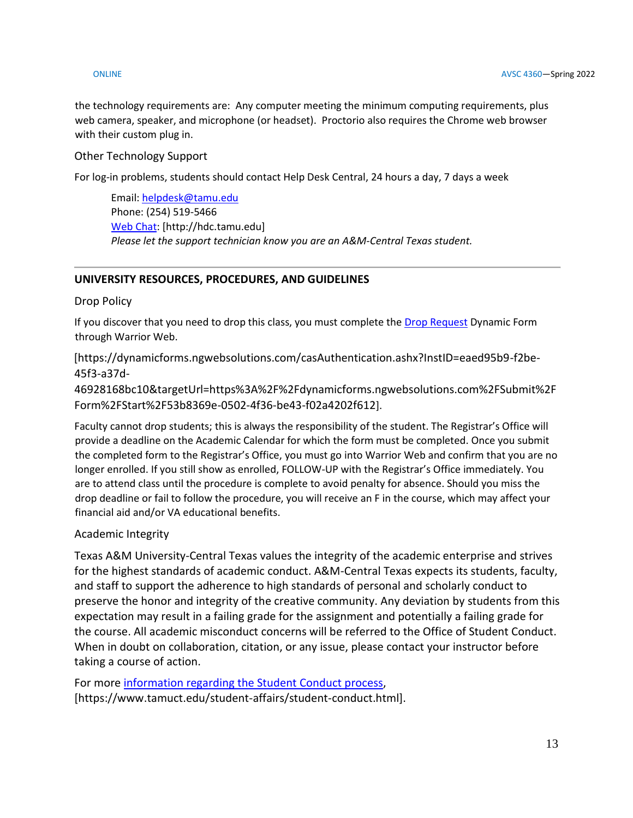the technology requirements are: Any computer meeting the minimum computing requirements, plus web camera, speaker, and microphone (or headset). Proctorio also requires the Chrome web browser with their custom plug in.

## Other Technology Support

For log-in problems, students should contact Help Desk Central, 24 hours a day, 7 days a week

Email[: helpdesk@tamu.edu](mailto:helpdesk@tamu.edu) Phone: (254) 519-5466 [Web Chat:](http://hdc.tamu.edu/) [http://hdc.tamu.edu] *Please let the support technician know you are an A&M-Central Texas student.*

## **UNIVERSITY RESOURCES, PROCEDURES, AND GUIDELINES**

Drop Policy

If you discover that you need to drop this class, you must complete the [Drop Request](https://dynamicforms.ngwebsolutions.com/casAuthentication.ashx?InstID=eaed95b9-f2be-45f3-a37d-46928168bc10&targetUrl=https%3A%2F%2Fdynamicforms.ngwebsolutions.com%2FSubmit%2FForm%2FStart%2F53b8369e-0502-4f36-be43-f02a4202f612) Dynamic Form through Warrior Web.

[https://dynamicforms.ngwebsolutions.com/casAuthentication.ashx?InstID=eaed95b9-f2be-45f3-a37d-

46928168bc10&targetUrl=https%3A%2F%2Fdynamicforms.ngwebsolutions.com%2FSubmit%2F Form%2FStart%2F53b8369e-0502-4f36-be43-f02a4202f612].

Faculty cannot drop students; this is always the responsibility of the student. The Registrar's Office will provide a deadline on the Academic Calendar for which the form must be completed. Once you submit the completed form to the Registrar's Office, you must go into Warrior Web and confirm that you are no longer enrolled. If you still show as enrolled, FOLLOW-UP with the Registrar's Office immediately. You are to attend class until the procedure is complete to avoid penalty for absence. Should you miss the drop deadline or fail to follow the procedure, you will receive an F in the course, which may affect your financial aid and/or VA educational benefits.

## Academic Integrity

Texas A&M University-Central Texas values the integrity of the academic enterprise and strives for the highest standards of academic conduct. A&M-Central Texas expects its students, faculty, and staff to support the adherence to high standards of personal and scholarly conduct to preserve the honor and integrity of the creative community. Any deviation by students from this expectation may result in a failing grade for the assignment and potentially a failing grade for the course. All academic misconduct concerns will be referred to the Office of Student Conduct. When in doubt on collaboration, citation, or any issue, please contact your instructor before taking a course of action.

For more [information](https://nam04.safelinks.protection.outlook.com/?url=https%3A%2F%2Fwww.tamuct.edu%2Fstudent-affairs%2Fstudent-conduct.html&data=04%7C01%7Clisa.bunkowski%40tamuct.edu%7Ccfb6e486f24745f53e1a08d910055cb2%7C9eed4e3000f744849ff193ad8005acec%7C0%7C0%7C637558437485252160%7CUnknown%7CTWFpbGZsb3d8eyJWIjoiMC4wLjAwMDAiLCJQIjoiV2luMzIiLCJBTiI6Ik1haWwiLCJXVCI6Mn0%3D%7C1000&sdata=yjftDEVHvLX%2FhM%2FcFU0B99krV1RgEWR%2BJ%2BhvtoR6TYk%3D&reserved=0) regarding the Student Conduct process, [https://www.tamuct.edu/student-affairs/student-conduct.html].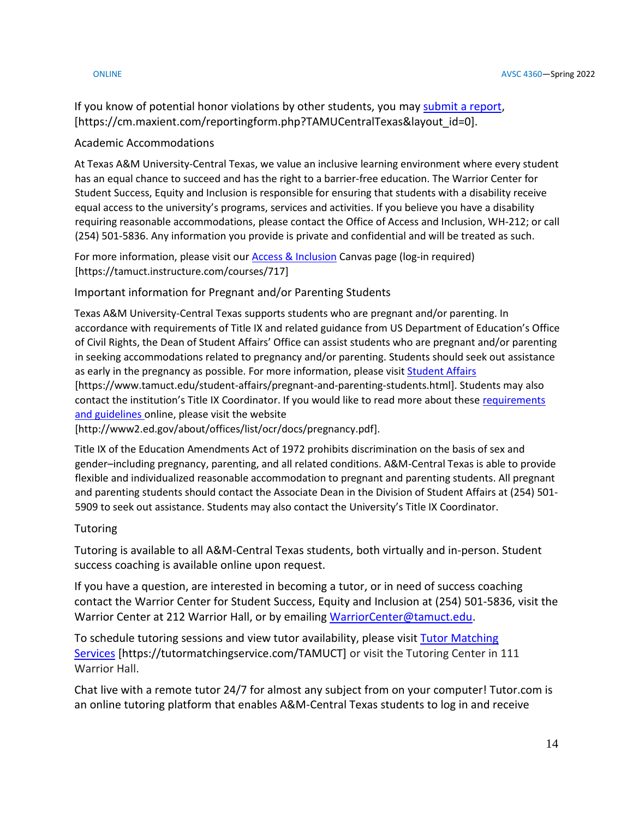If you know of potential honor violations by other students, you may [submit](https://nam04.safelinks.protection.outlook.com/?url=https%3A%2F%2Fcm.maxient.com%2Freportingform.php%3FTAMUCentralTexas%26layout_id%3D0&data=04%7C01%7Clisa.bunkowski%40tamuct.edu%7Ccfb6e486f24745f53e1a08d910055cb2%7C9eed4e3000f744849ff193ad8005acec%7C0%7C0%7C637558437485262157%7CUnknown%7CTWFpbGZsb3d8eyJWIjoiMC4wLjAwMDAiLCJQIjoiV2luMzIiLCJBTiI6Ik1haWwiLCJXVCI6Mn0%3D%7C1000&sdata=CXGkOa6uPDPX1IMZ87z3aZDq2n91xfHKu4MMS43Ejjk%3D&reserved=0) a report, [https://cm.maxient.com/reportingform.php?TAMUCentralTexas&layout\_id=0].

#### Academic Accommodations

At Texas A&M University-Central Texas, we value an inclusive learning environment where every student has an equal chance to succeed and has the right to a barrier-free education. The Warrior Center for Student Success, Equity and Inclusion is responsible for ensuring that students with a disability receive equal access to the university's programs, services and activities. If you believe you have a disability requiring reasonable accommodations, please contact the Office of Access and Inclusion, WH-212; or call (254) 501-5836. Any information you provide is private and confidential and will be treated as such.

For more information, please visit ou[r Access & Inclusion](https://tamuct.instructure.com/courses/717) Canvas page (log-in required) [https://tamuct.instructure.com/courses/717]

Important information for Pregnant and/or Parenting Students

Texas A&M University-Central Texas supports students who are pregnant and/or parenting. In accordance with requirements of Title IX and related guidance from US Department of Education's Office of Civil Rights, the Dean of Student Affairs' Office can assist students who are pregnant and/or parenting in seeking accommodations related to pregnancy and/or parenting. Students should seek out assistance as early in the pregnancy as possible. For more information, please visit [Student Affairs](https://www.tamuct.edu/student-affairs/pregnant-and-parenting-students.html) [https://www.tamuct.edu/student-affairs/pregnant-and-parenting-students.html]. Students may also

contact the institution's Title IX Coordinator. If you would like to read more about these [requirements](http://www2.ed.gov/about/offices/list/ocr/docs/pregnancy.pdf)  [and guidelines](http://www2.ed.gov/about/offices/list/ocr/docs/pregnancy.pdf) online, please visit the website

[http://www2.ed.gov/about/offices/list/ocr/docs/pregnancy.pdf].

Title IX of the Education Amendments Act of 1972 prohibits discrimination on the basis of sex and gender–including pregnancy, parenting, and all related conditions. A&M-Central Texas is able to provide flexible and individualized reasonable accommodation to pregnant and parenting students. All pregnant and parenting students should contact the Associate Dean in the Division of Student Affairs at (254) 501- 5909 to seek out assistance. Students may also contact the University's Title IX Coordinator.

### Tutoring

Tutoring is available to all A&M-Central Texas students, both virtually and in-person. Student success coaching is available online upon request.

If you have a question, are interested in becoming a tutor, or in need of success coaching contact the Warrior Center for Student Success, Equity and Inclusion at (254) 501-5836, visit the Warrior Center at 212 Warrior Hall, or by emailing [WarriorCenter@tamuct.edu.](mailto:WarriorCenter@tamuct.edu)

To schedule tutoring sessions and view tutor availability, please visit Tutor [Matching](https://tutormatchingservice.com/TAMUCT) [Services](https://tutormatchingservice.com/TAMUCT) [https://tutormatchingservice.com/TAMUCT] or visit the Tutoring Center in 111 Warrior Hall.

Chat live with a remote tutor 24/7 for almost any subject from on your computer! Tutor.com is an online tutoring platform that enables A&M-Central Texas students to log in and receive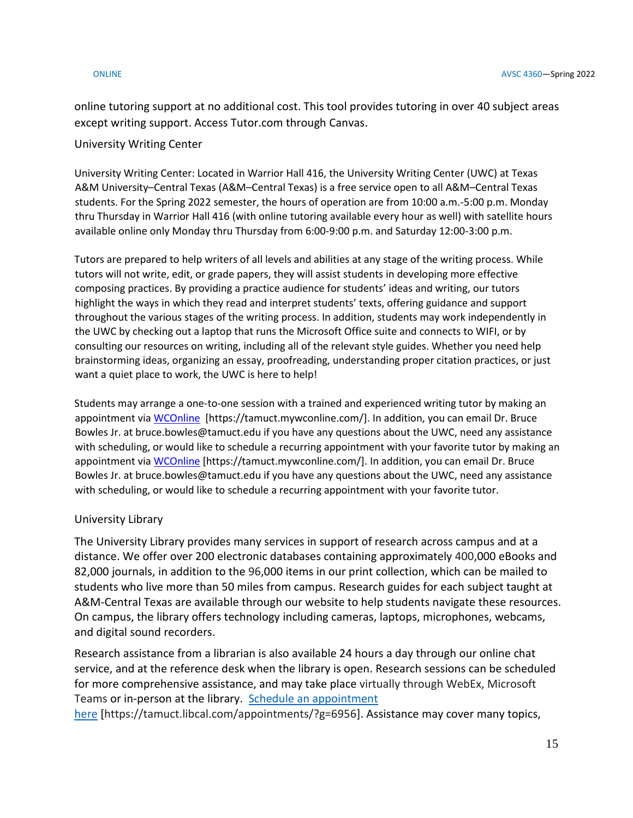online tutoring support at no additional cost. This tool provides tutoring in over 40 subject areas except writing support. Access Tutor.com through Canvas.

#### University Writing Center

University Writing Center: Located in Warrior Hall 416, the University Writing Center (UWC) at Texas A&M University–Central Texas (A&M–Central Texas) is a free service open to all A&M–Central Texas students. For the Spring 2022 semester, the hours of operation are from 10:00 a.m.-5:00 p.m. Monday thru Thursday in Warrior Hall 416 (with online tutoring available every hour as well) with satellite hours available online only Monday thru Thursday from 6:00-9:00 p.m. and Saturday 12:00-3:00 p.m.

Tutors are prepared to help writers of all levels and abilities at any stage of the writing process. While tutors will not write, edit, or grade papers, they will assist students in developing more effective composing practices. By providing a practice audience for students' ideas and writing, our tutors highlight the ways in which they read and interpret students' texts, offering guidance and support throughout the various stages of the writing process. In addition, students may work independently in the UWC by checking out a laptop that runs the Microsoft Office suite and connects to WIFI, or by consulting our resources on writing, including all of the relevant style guides. Whether you need help brainstorming ideas, organizing an essay, proofreading, understanding proper citation practices, or just want a quiet place to work, the UWC is here to help!

Students may arrange a one-to-one session with a trained and experienced writing tutor by making an appointment vi[a WCOnline](https://tamuct.mywconline.com/) [https://tamuct.mywconline.com/]. In addition, you can email Dr. Bruce Bowles Jr. at bruce.bowles@tamuct.edu if you have any questions about the UWC, need any assistance with scheduling, or would like to schedule a recurring appointment with your favorite tutor by making an appointment vi[a WCOnline](https://tamuct.mywconline.com/) [https://tamuct.mywconline.com/]. In addition, you can email Dr. Bruce Bowles Jr. at bruce.bowles@tamuct.edu if you have any questions about the UWC, need any assistance with scheduling, or would like to schedule a recurring appointment with your favorite tutor.

### University Library

The University Library provides many services in support of research across campus and at a distance. We offer over 200 electronic databases containing approximately 400,000 eBooks and 82,000 journals, in addition to the 96,000 items in our print collection, which can be mailed to students who live more than 50 miles from campus. Research guides for each subject taught at A&M-Central Texas are available through our website to help students navigate these resources. On campus, the library offers technology including cameras, laptops, microphones, webcams, and digital sound recorders.

Research assistance from a librarian is also available 24 hours a day through our online chat service, and at the reference desk when the library is open. Research sessions can be scheduled for more comprehensive assistance, and may take place virtually through WebEx, Microsoft Teams or in-person at the library. Schedule an [appointment](https://nam04.safelinks.protection.outlook.com/?url=https%3A%2F%2Ftamuct.libcal.com%2Fappointments%2F%3Fg%3D6956&data=04%7C01%7Clisa.bunkowski%40tamuct.edu%7Cde2c07d9f5804f09518008d9ab7ba6ff%7C9eed4e3000f744849ff193ad8005acec%7C0%7C0%7C637729369835011558%7CUnknown%7CTWFpbGZsb3d8eyJWIjoiMC4wLjAwMDAiLCJQIjoiV2luMzIiLCJBTiI6Ik1haWwiLCJXVCI6Mn0%3D%7C3000&sdata=KhtjgRSAw9aq%2FoBsB6wyu8b7PSuGN5EGPypzr3Ty2No%3D&reserved=0)

[here](https://nam04.safelinks.protection.outlook.com/?url=https%3A%2F%2Ftamuct.libcal.com%2Fappointments%2F%3Fg%3D6956&data=04%7C01%7Clisa.bunkowski%40tamuct.edu%7Cde2c07d9f5804f09518008d9ab7ba6ff%7C9eed4e3000f744849ff193ad8005acec%7C0%7C0%7C637729369835011558%7CUnknown%7CTWFpbGZsb3d8eyJWIjoiMC4wLjAwMDAiLCJQIjoiV2luMzIiLCJBTiI6Ik1haWwiLCJXVCI6Mn0%3D%7C3000&sdata=KhtjgRSAw9aq%2FoBsB6wyu8b7PSuGN5EGPypzr3Ty2No%3D&reserved=0) [https://tamuct.libcal.com/appointments/?g=6956]. Assistance may cover many topics,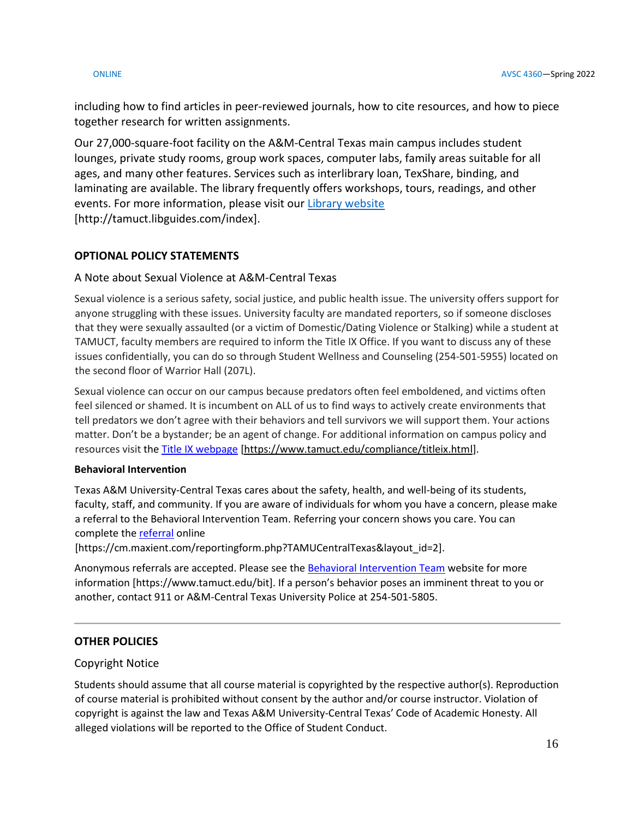including how to find articles in peer-reviewed journals, how to cite resources, and how to piece together research for written assignments.

Our 27,000-square-foot facility on the A&M-Central Texas main campus includes student lounges, private study rooms, group work spaces, computer labs, family areas suitable for all ages, and many other features. Services such as interlibrary loan, TexShare, binding, and laminating are available. The library frequently offers workshops, tours, readings, and other events. For more information, please visit our Library [website](https://nam04.safelinks.protection.outlook.com/?url=https%3A%2F%2Ftamuct.libguides.com%2Findex&data=04%7C01%7Clisa.bunkowski%40tamuct.edu%7C7d8489e8839a4915335f08d916f067f2%7C9eed4e3000f744849ff193ad8005acec%7C0%7C0%7C637566044056484222%7CUnknown%7CTWFpbGZsb3d8eyJWIjoiMC4wLjAwMDAiLCJQIjoiV2luMzIiLCJBTiI6Ik1haWwiLCJXVCI6Mn0%3D%7C1000&sdata=2R755V6rcIyedGrd4Os5rkgn1PvhHKU3kUV1vBKiHFo%3D&reserved=0) [http://tamuct.libguides.com/index].

## **OPTIONAL POLICY STATEMENTS**

### A Note about Sexual Violence at A&M-Central Texas

Sexual violence is a serious safety, social justice, and public health issue. The university offers support for anyone struggling with these issues. University faculty are mandated reporters, so if someone discloses that they were sexually assaulted (or a victim of Domestic/Dating Violence or Stalking) while a student at TAMUCT, faculty members are required to inform the Title IX Office. If you want to discuss any of these issues confidentially, you can do so through Student Wellness and Counseling (254-501-5955) located on the second floor of Warrior Hall (207L).

Sexual violence can occur on our campus because predators often feel emboldened, and victims often feel silenced or shamed. It is incumbent on ALL of us to find ways to actively create environments that tell predators we don't agree with their behaviors and tell survivors we will support them. Your actions matter. Don't be a bystander; be an agent of change. For additional information on campus policy and resources visit the [Title IX webpage](https://www.tamuct.edu/compliance/titleix.html) [\[https://www.tamuct.edu/compliance/titleix.html\]](https://www.tamuct.edu/compliance/titleix.html).

#### **Behavioral Intervention**

Texas A&M University-Central Texas cares about the safety, health, and well-being of its students, faculty, staff, and community. If you are aware of individuals for whom you have a concern, please make a referral to the Behavioral Intervention Team. Referring your concern shows you care. You can complete th[e referral](https://cm.maxient.com/reportingform.php?TAMUCentralTexas&layout_id=2) online

[https://cm.maxient.com/reportingform.php?TAMUCentralTexas&layout\_id=2].

Anonymous referrals are accepted. Please see th[e Behavioral Intervention Team](https://www.tamuct.edu/bit) website for more information [https://www.tamuct.edu/bit]. If a person's behavior poses an imminent threat to you or another, contact 911 or A&M-Central Texas University Police at 254-501-5805.

### **OTHER POLICIES**

### Copyright Notice

Students should assume that all course material is copyrighted by the respective author(s). Reproduction of course material is prohibited without consent by the author and/or course instructor. Violation of copyright is against the law and Texas A&M University-Central Texas' Code of Academic Honesty. All alleged violations will be reported to the Office of Student Conduct.